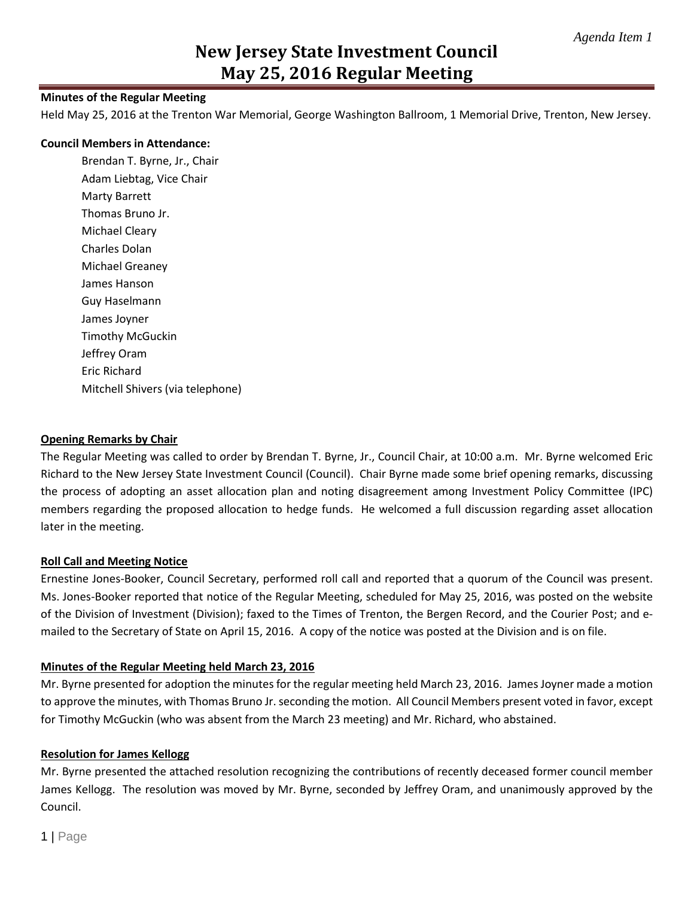## **Minutes of the Regular Meeting**

Held May 25, 2016 at the Trenton War Memorial, George Washington Ballroom, 1 Memorial Drive, Trenton, New Jersey.

#### **Council Members in Attendance:**

Brendan T. Byrne, Jr., Chair Adam Liebtag, Vice Chair Marty Barrett Thomas Bruno Jr. Michael Cleary Charles Dolan Michael Greaney James Hanson Guy Haselmann James Joyner Timothy McGuckin Jeffrey Oram Eric Richard Mitchell Shivers (via telephone)

#### **Opening Remarks by Chair**

The Regular Meeting was called to order by Brendan T. Byrne, Jr., Council Chair, at 10:00 a.m. Mr. Byrne welcomed Eric Richard to the New Jersey State Investment Council (Council). Chair Byrne made some brief opening remarks, discussing the process of adopting an asset allocation plan and noting disagreement among Investment Policy Committee (IPC) members regarding the proposed allocation to hedge funds. He welcomed a full discussion regarding asset allocation later in the meeting.

### **Roll Call and Meeting Notice**

Ernestine Jones-Booker, Council Secretary, performed roll call and reported that a quorum of the Council was present. Ms. Jones-Booker reported that notice of the Regular Meeting, scheduled for May 25, 2016, was posted on the website of the Division of Investment (Division); faxed to the Times of Trenton, the Bergen Record, and the Courier Post; and emailed to the Secretary of State on April 15, 2016. A copy of the notice was posted at the Division and is on file.

### **Minutes of the Regular Meeting held March 23, 2016**

Mr. Byrne presented for adoption the minutes for the regular meeting held March 23, 2016. James Joyner made a motion to approve the minutes, with Thomas Bruno Jr. seconding the motion. All Council Members present voted in favor, except for Timothy McGuckin (who was absent from the March 23 meeting) and Mr. Richard, who abstained.

### **Resolution for James Kellogg**

Mr. Byrne presented the attached resolution recognizing the contributions of recently deceased former council member James Kellogg. The resolution was moved by Mr. Byrne, seconded by Jeffrey Oram, and unanimously approved by the Council.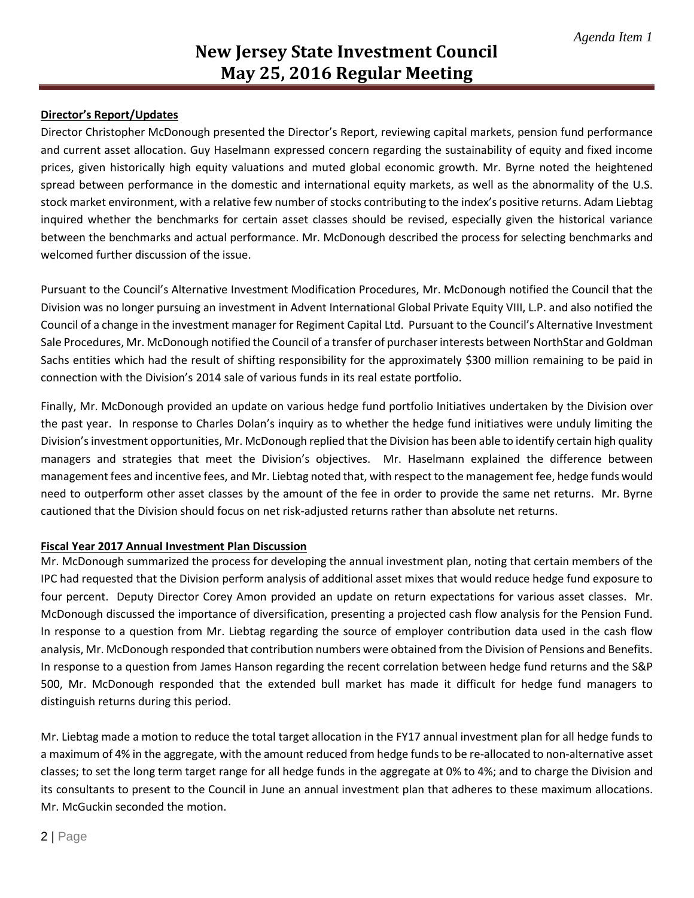## **Director's Report/Updates**

Director Christopher McDonough presented the Director's Report, reviewing capital markets, pension fund performance and current asset allocation. Guy Haselmann expressed concern regarding the sustainability of equity and fixed income prices, given historically high equity valuations and muted global economic growth. Mr. Byrne noted the heightened spread between performance in the domestic and international equity markets, as well as the abnormality of the U.S. stock market environment, with a relative few number of stocks contributing to the index's positive returns. Adam Liebtag inquired whether the benchmarks for certain asset classes should be revised, especially given the historical variance between the benchmarks and actual performance. Mr. McDonough described the process for selecting benchmarks and welcomed further discussion of the issue.

Pursuant to the Council's Alternative Investment Modification Procedures, Mr. McDonough notified the Council that the Division was no longer pursuing an investment in Advent International Global Private Equity VIII, L.P. and also notified the Council of a change in the investment manager for Regiment Capital Ltd. Pursuant to the Council's Alternative Investment Sale Procedures, Mr. McDonough notified the Council of a transfer of purchaser interests between NorthStar and Goldman Sachs entities which had the result of shifting responsibility for the approximately \$300 million remaining to be paid in connection with the Division's 2014 sale of various funds in its real estate portfolio.

Finally, Mr. McDonough provided an update on various hedge fund portfolio Initiatives undertaken by the Division over the past year. In response to Charles Dolan's inquiry as to whether the hedge fund initiatives were unduly limiting the Division's investment opportunities, Mr. McDonough replied that the Division has been able to identify certain high quality managers and strategies that meet the Division's objectives. Mr. Haselmann explained the difference between management fees and incentive fees, and Mr. Liebtag noted that, with respect to the management fee, hedge funds would need to outperform other asset classes by the amount of the fee in order to provide the same net returns. Mr. Byrne cautioned that the Division should focus on net risk-adjusted returns rather than absolute net returns.

### **Fiscal Year 2017 Annual Investment Plan Discussion**

Mr. McDonough summarized the process for developing the annual investment plan, noting that certain members of the IPC had requested that the Division perform analysis of additional asset mixes that would reduce hedge fund exposure to four percent. Deputy Director Corey Amon provided an update on return expectations for various asset classes. Mr. McDonough discussed the importance of diversification, presenting a projected cash flow analysis for the Pension Fund. In response to a question from Mr. Liebtag regarding the source of employer contribution data used in the cash flow analysis, Mr. McDonough responded that contribution numbers were obtained from the Division of Pensions and Benefits. In response to a question from James Hanson regarding the recent correlation between hedge fund returns and the S&P 500, Mr. McDonough responded that the extended bull market has made it difficult for hedge fund managers to distinguish returns during this period.

Mr. Liebtag made a motion to reduce the total target allocation in the FY17 annual investment plan for all hedge funds to a maximum of 4% in the aggregate, with the amount reduced from hedge funds to be re-allocated to non-alternative asset classes; to set the long term target range for all hedge funds in the aggregate at 0% to 4%; and to charge the Division and its consultants to present to the Council in June an annual investment plan that adheres to these maximum allocations. Mr. McGuckin seconded the motion.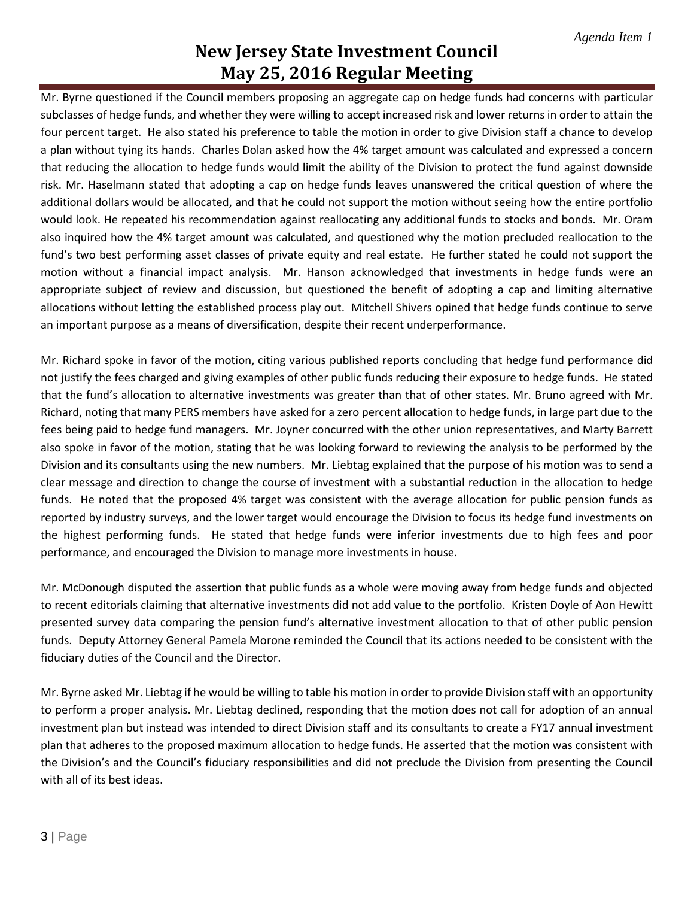Mr. Byrne questioned if the Council members proposing an aggregate cap on hedge funds had concerns with particular subclasses of hedge funds, and whether they were willing to accept increased risk and lower returns in order to attain the four percent target. He also stated his preference to table the motion in order to give Division staff a chance to develop a plan without tying its hands. Charles Dolan asked how the 4% target amount was calculated and expressed a concern that reducing the allocation to hedge funds would limit the ability of the Division to protect the fund against downside risk. Mr. Haselmann stated that adopting a cap on hedge funds leaves unanswered the critical question of where the additional dollars would be allocated, and that he could not support the motion without seeing how the entire portfolio would look. He repeated his recommendation against reallocating any additional funds to stocks and bonds. Mr. Oram also inquired how the 4% target amount was calculated, and questioned why the motion precluded reallocation to the fund's two best performing asset classes of private equity and real estate. He further stated he could not support the motion without a financial impact analysis. Mr. Hanson acknowledged that investments in hedge funds were an appropriate subject of review and discussion, but questioned the benefit of adopting a cap and limiting alternative allocations without letting the established process play out. Mitchell Shivers opined that hedge funds continue to serve an important purpose as a means of diversification, despite their recent underperformance.

Mr. Richard spoke in favor of the motion, citing various published reports concluding that hedge fund performance did not justify the fees charged and giving examples of other public funds reducing their exposure to hedge funds. He stated that the fund's allocation to alternative investments was greater than that of other states. Mr. Bruno agreed with Mr. Richard, noting that many PERS members have asked for a zero percent allocation to hedge funds, in large part due to the fees being paid to hedge fund managers. Mr. Joyner concurred with the other union representatives, and Marty Barrett also spoke in favor of the motion, stating that he was looking forward to reviewing the analysis to be performed by the Division and its consultants using the new numbers. Mr. Liebtag explained that the purpose of his motion was to send a clear message and direction to change the course of investment with a substantial reduction in the allocation to hedge funds. He noted that the proposed 4% target was consistent with the average allocation for public pension funds as reported by industry surveys, and the lower target would encourage the Division to focus its hedge fund investments on the highest performing funds. He stated that hedge funds were inferior investments due to high fees and poor performance, and encouraged the Division to manage more investments in house.

Mr. McDonough disputed the assertion that public funds as a whole were moving away from hedge funds and objected to recent editorials claiming that alternative investments did not add value to the portfolio. Kristen Doyle of Aon Hewitt presented survey data comparing the pension fund's alternative investment allocation to that of other public pension funds. Deputy Attorney General Pamela Morone reminded the Council that its actions needed to be consistent with the fiduciary duties of the Council and the Director.

Mr. Byrne asked Mr. Liebtag if he would be willing to table his motion in order to provide Division staff with an opportunity to perform a proper analysis. Mr. Liebtag declined, responding that the motion does not call for adoption of an annual investment plan but instead was intended to direct Division staff and its consultants to create a FY17 annual investment plan that adheres to the proposed maximum allocation to hedge funds. He asserted that the motion was consistent with the Division's and the Council's fiduciary responsibilities and did not preclude the Division from presenting the Council with all of its best ideas.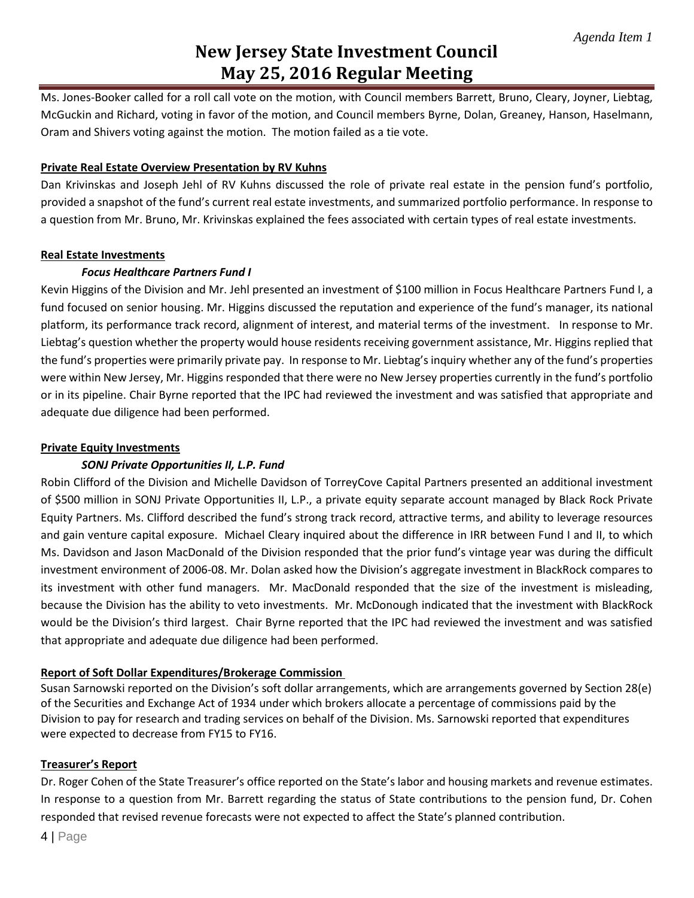Ms. Jones-Booker called for a roll call vote on the motion, with Council members Barrett, Bruno, Cleary, Joyner, Liebtag, McGuckin and Richard, voting in favor of the motion, and Council members Byrne, Dolan, Greaney, Hanson, Haselmann, Oram and Shivers voting against the motion. The motion failed as a tie vote.

## **Private Real Estate Overview Presentation by RV Kuhns**

Dan Krivinskas and Joseph Jehl of RV Kuhns discussed the role of private real estate in the pension fund's portfolio, provided a snapshot of the fund's current real estate investments, and summarized portfolio performance. In response to a question from Mr. Bruno, Mr. Krivinskas explained the fees associated with certain types of real estate investments.

## **Real Estate Investments**

## *Focus Healthcare Partners Fund I*

Kevin Higgins of the Division and Mr. Jehl presented an investment of \$100 million in Focus Healthcare Partners Fund I, a fund focused on senior housing. Mr. Higgins discussed the reputation and experience of the fund's manager, its national platform, its performance track record, alignment of interest, and material terms of the investment. In response to Mr. Liebtag's question whether the property would house residents receiving government assistance, Mr. Higgins replied that the fund's properties were primarily private pay. In response to Mr. Liebtag's inquiry whether any of the fund's properties were within New Jersey, Mr. Higgins responded that there were no New Jersey properties currently in the fund's portfolio or in its pipeline. Chair Byrne reported that the IPC had reviewed the investment and was satisfied that appropriate and adequate due diligence had been performed.

## **Private Equity Investments**

## *SONJ Private Opportunities II, L.P. Fund*

Robin Clifford of the Division and Michelle Davidson of TorreyCove Capital Partners presented an additional investment of \$500 million in SONJ Private Opportunities II, L.P., a private equity separate account managed by Black Rock Private Equity Partners. Ms. Clifford described the fund's strong track record, attractive terms, and ability to leverage resources and gain venture capital exposure. Michael Cleary inquired about the difference in IRR between Fund I and II, to which Ms. Davidson and Jason MacDonald of the Division responded that the prior fund's vintage year was during the difficult investment environment of 2006-08. Mr. Dolan asked how the Division's aggregate investment in BlackRock compares to its investment with other fund managers. Mr. MacDonald responded that the size of the investment is misleading, because the Division has the ability to veto investments. Mr. McDonough indicated that the investment with BlackRock would be the Division's third largest. Chair Byrne reported that the IPC had reviewed the investment and was satisfied that appropriate and adequate due diligence had been performed.

## **Report of Soft Dollar Expenditures/Brokerage Commission**

Susan Sarnowski reported on the Division's soft dollar arrangements, which are arrangements governed by Section 28(e) of the Securities and Exchange Act of 1934 under which brokers allocate a percentage of commissions paid by the Division to pay for research and trading services on behalf of the Division. Ms. Sarnowski reported that expenditures were expected to decrease from FY15 to FY16.

### **Treasurer's Report**

Dr. Roger Cohen of the State Treasurer's office reported on the State's labor and housing markets and revenue estimates. In response to a question from Mr. Barrett regarding the status of State contributions to the pension fund, Dr. Cohen responded that revised revenue forecasts were not expected to affect the State's planned contribution.